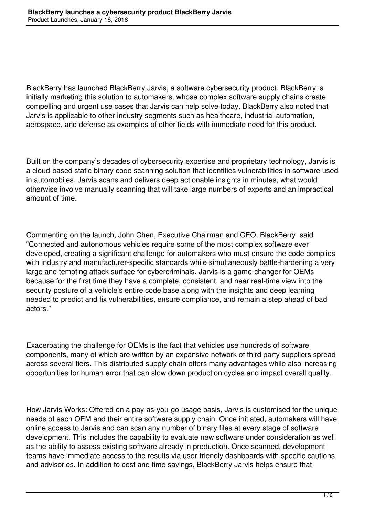BlackBerry has launched BlackBerry Jarvis, a software cybersecurity product. BlackBerry is initially marketing this solution to automakers, whose complex software supply chains create compelling and urgent use cases that Jarvis can help solve today. BlackBerry also noted that Jarvis is applicable to other industry segments such as healthcare, industrial automation, aerospace, and defense as examples of other fields with immediate need for this product.

Built on the company's decades of cybersecurity expertise and proprietary technology, Jarvis is a cloud-based static binary code scanning solution that identifies vulnerabilities in software used in automobiles. Jarvis scans and delivers deep actionable insights in minutes, what would otherwise involve manually scanning that will take large numbers of experts and an impractical amount of time.

Commenting on the launch, John Chen, Executive Chairman and CEO, BlackBerry said "Connected and autonomous vehicles require some of the most complex software ever developed, creating a significant challenge for automakers who must ensure the code complies with industry and manufacturer-specific standards while simultaneously battle-hardening a very large and tempting attack surface for cybercriminals. Jarvis is a game-changer for OEMs because for the first time they have a complete, consistent, and near real-time view into the security posture of a vehicle's entire code base along with the insights and deep learning needed to predict and fix vulnerabilities, ensure compliance, and remain a step ahead of bad actors."

Exacerbating the challenge for OEMs is the fact that vehicles use hundreds of software components, many of which are written by an expansive network of third party suppliers spread across several tiers. This distributed supply chain offers many advantages while also increasing opportunities for human error that can slow down production cycles and impact overall quality.

How Jarvis Works: Offered on a pay-as-you-go usage basis, Jarvis is customised for the unique needs of each OEM and their entire software supply chain. Once initiated, automakers will have online access to Jarvis and can scan any number of binary files at every stage of software development. This includes the capability to evaluate new software under consideration as well as the ability to assess existing software already in production. Once scanned, development teams have immediate access to the results via user-friendly dashboards with specific cautions and advisories. In addition to cost and time savings, BlackBerry Jarvis helps ensure that